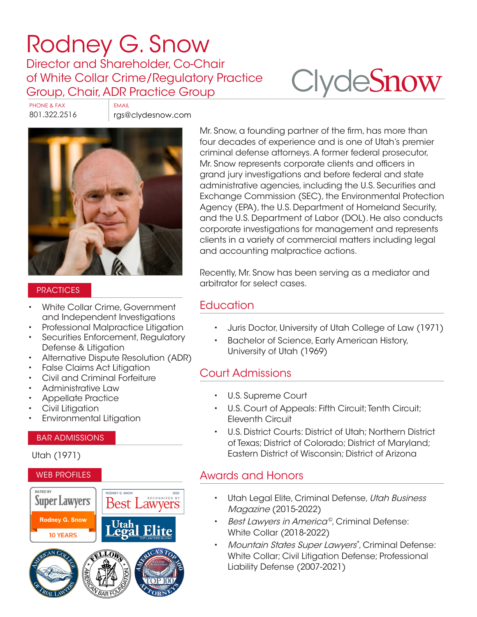## [Rodney G. Snow](https://www.clydesnow.com/attorneys/47-rodney-g-snow)

Director and Shareholder, Co-Chair of White Collar Crime/Regulatory Practice Group, Chair, ADR Practice Group

# **Clyde[Snow](http://www.clydesnow.com)**

PHONE & FAX EMAIL

801.322.2516 rgs@clydesnow.com



#### **PRACTICES**

- White Collar Crime, Government and Independent Investigations
- Professional Malpractice Litigation
- Securities Enforcement, Regulatory Defense & Litigation
- Alternative Dispute Resolution (ADR)
- False Claims Act Litigation
- Civil and Criminal Forfeiture
- Administrative Law
- Appellate Practice
- Civil Litigation
- Environmental Litigation

#### BAR ADMISSIONS

#### Utah (1971)

#### WEB PROFILES



Mr. Snow, a founding partner of the firm, has more than four decades of experience and is one of Utah's premier criminal defense attorneys. A former federal prosecutor, Mr. Snow represents corporate clients and officers in grand jury investigations and before federal and state administrative agencies, including the U.S. Securities and Exchange Commission (SEC), the Environmental Protection Agency (EPA), the U.S. Department of Homeland Security, and the U.S. Department of Labor (DOL). He also conducts corporate investigations for management and represents clients in a variety of commercial matters including legal and accounting malpractice actions.

Recently, Mr. Snow has been serving as a mediator and arbitrator for select cases.

## **Education**

- Juris Doctor, University of Utah College of Law (1971)
- Bachelor of Science, Early American History, University of Utah (1969)

## Court Admissions

- U.S. Supreme Court
- U.S. Court of Appeals: Fifth Circuit; Tenth Circuit; Eleventh Circuit
- U.S. District Courts: District of Utah; Northern District of Texas; District of Colorado; District of Maryland; Eastern District of Wisconsin; District of Arizona

## Awards and Honors

- Utah Legal Elite, Criminal Defense, Utah Business Magazine (2015-2022)
- Best Lawyers in America<sup>®</sup>, Criminal Defense: White Collar (2018-2022)
- Mountain States Super Lawyers®, Criminal Defense: White Collar; Civil Litigation Defense; Professional Liability Defense (2007-2021)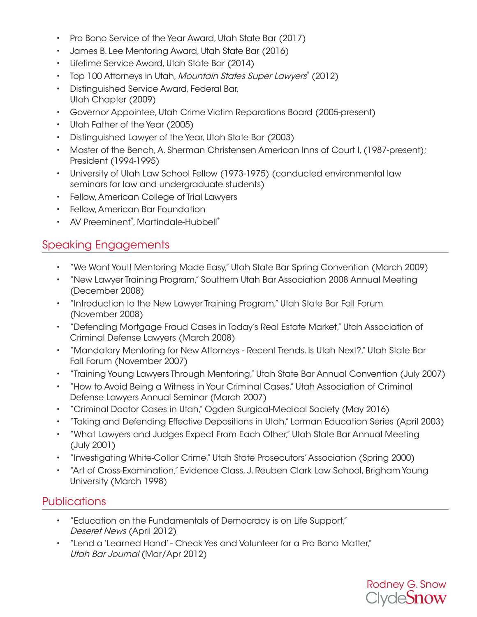- Pro Bono Service of the Year Award, Utah State Bar (2017)
- James B. Lee Mentoring Award, Utah State Bar (2016)
- Lifetime Service Award, Utah State Bar (2014)
- Top 100 Attorneys in Utah, Mountain States Super Lawyers® (2012)
- Distinguished Service Award, Federal Bar, Utah Chapter (2009)
- Governor Appointee, Utah Crime Victim Reparations Board (2005-present)
- Utah Father of the Year (2005)
- Distinguished Lawyer of the Year, Utah State Bar (2003)
- Master of the Bench, A. Sherman Christensen American Inns of Court I, (1987-present); President (1994-1995)
- University of Utah Law School Fellow (1973-1975) (conducted environmental law seminars for law and undergraduate students)
- Fellow, American College of Trial Lawyers
- Fellow, American Bar Foundation
- AV Preeminent®, Martindale-Hubbell®

## Speaking Engagements

- "We Want You!! Mentoring Made Easy," Utah State Bar Spring Convention (March 2009)
- "New Lawyer Training Program," Southern Utah Bar Association 2008 Annual Meeting (December 2008)
- "Introduction to the New Lawyer Training Program," Utah State Bar Fall Forum (November 2008)
- "Defending Mortgage Fraud Cases in Today's Real Estate Market," Utah Association of Criminal Defense Lawyers (March 2008)
- "Mandatory Mentoring for New Attorneys Recent Trends. Is Utah Next?," Utah State Bar Fall Forum (November 2007)
- "Training Young Lawyers Through Mentoring," Utah State Bar Annual Convention (July 2007)
- "How to Avoid Being a Witness in Your Criminal Cases," Utah Association of Criminal Defense Lawyers Annual Seminar (March 2007)
- "Criminal Doctor Cases in Utah," Ogden Surgical-Medical Society (May 2016)
- "Taking and Defending Effective Depositions in Utah," Lorman Education Series (April 2003)
- "What Lawyers and Judges Expect From Each Other," Utah State Bar Annual Meeting (July 2001)
- "Investigating White-Collar Crime," Utah State Prosecutors' Association (Spring 2000)
- "Art of Cross-Examination," Evidence Class, J. Reuben Clark Law School, Brigham Young University (March 1998)

## **Publications**

- "Education on the Fundamentals of Democracy is on Life Support," Deseret News (April 2012)
- "Lend a 'Learned Hand' Check Yes and Volunteer for a Pro Bono Matter," Utah Bar Journal (Mar/Apr 2012)